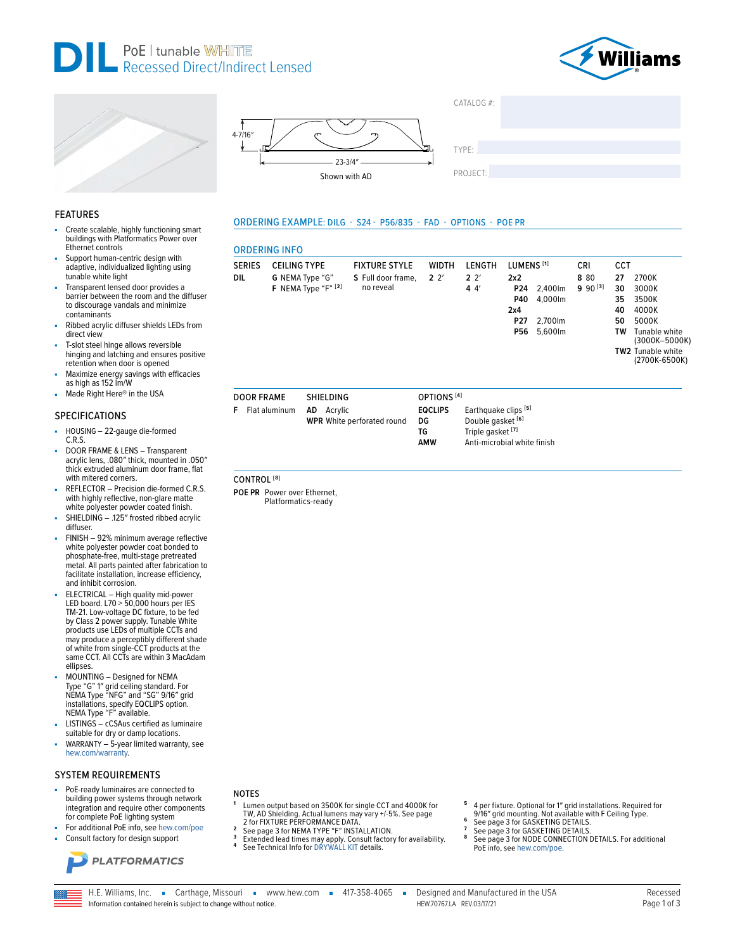







**ORDERING INFO** 

**DOOR FRAME** 

CONTROL<sup>[8]</sup>

POE PR Power over Ethernet,

Platformatics-ready

**F** Flat aluminum

**DIL** 

SERIES CEILING TYPE

G NEMA Type "G"

F NEMA Type "F" [2]

SHIFI DING AD Acrylic

**WPR** White perforated round

ORDERING EXAMPLE: DILG - S24 - P56/835 - FAD - OPTIONS - POE PR

**FIXTURE STYLE** 

S Full door frame.

no reveal

WIDTH

 $2<sup>2</sup>$ 

OPTIONS<sup>[4]</sup>

**EQCLIPS** 

DG

**TG** 

AMW

| TYPE:    |  |  |  |
|----------|--|--|--|
|          |  |  |  |
| PROJECT: |  |  |  |

CRI

8 80

 $990^{[3]}$ 

CCT

27 2700K

30

35

40

50

**TW** 

3000K

3500K

4000K

5000K

TW2 Tunable white

Tunable white

(3000K-5000K)

(2700K-6500K)

CATALOG #:

LENGTH

 $22'$ 

 $44$ 

LUMENS<sup>[1]</sup>

P24 2,400lm

P40 4,000lm

P27 2.700lm

P56 5,600lm

 $2x2$ 

 $2x4$ 

Earthquake clips [5]

Anti-microbial white finish

Double gasket [6]

Triple gasket<sup>[7]</sup>

### **FEATURES**

- Create scalable, highly functioning smart buildings with Platformatics Power over Ethernet controls
- Support human-centric design with adaptive, individualized lighting using tunable white light
- Transparent lensed door provides a barrier between the room and the diffuser to discourage vandals and minimize contaminants
- Ribbed acrylic diffuser shields LEDs from direct view
- T-slot steel hinge allows reversible hinging and latching and ensures positive retention when door is opened
- Maximize energy savings with efficacies as high as 152 lm/W
- Made Right Here® in the USA

### **SPECIFICATIONS**

- HOUSING 22-gauge die-formed à,  $C.R.S.$
- DOOR FRAME & LENS Transparent acrylic lens, .080" thick, mounted in .050" thick extruded aluminum door frame, flat with mitered corners.
- REFLECTOR Precision die-formed C.R.S. with highly reflective, non-glare matte white polyester powder coated finish.
- SHIELDING .125" frosted ribbed acrylic diffuser.
- FINISH 92% minimum average reflective white polyester powder coat bonded to phosphate-free, multi-stage pretreated metal. All parts painted after fabrication to facilitate installation, increase efficiency, and inhibit corrosion.
- ELECTRICAL High quality mid-power<br>LED board. L70 > 50,000 hours per IES<br>TM-21. Low-voltage DC fixture, to be fed by Class 2 power supply. Tunable White<br>by Class 2 power supply. Tunable White<br>products use LEDs of multiple CCTs and may produce a perceptibly different shade of white from single-CCT products at the<br>same CCT. All CCTs are within 3 MacAdam ellinses
- MOUNTING Designed for NEMA Type "G" 1" grid ceiling standard. For<br>NEMA Type "NFG" and "SG" 9/16" grid installations, specify EQCLIPS option.<br>NEMA Type "F" available.
- LISTINGS cCSAus certified as luminaire suitable for dry or damp locations.
- WARRANTY 5-year limited warranty, see hew.com/warranty.

### **SYSTEM REQUIREMENTS**

- PoE-ready luminaires are connected to building power systems through network integration and require other components for complete PoE lighting system
- For additional PoE info, see hew.com/poe Consult factory for design support
- 



**NOTES** 

- Lumen output based on 3500K for single CCT and 4000K for EW, AD Shielding. Actual lumens may vary +/-5%. See page<br>2 for FIXTURE PERFORMANCE DATA. See page 3 for NEMA TYPE "F" INSTALLATION.  $\overline{\phantom{a}}$
- $\overline{3}$
- Extended lead times may apply. Consult factory for availability.<br>See Technical Info for DRYWALL KIT details.
- 
- 4 per fixture. Optional for 1" grid installations. Required for
- 4 per mature. Update and the state of the San Salam Surface See page 3 for GASKETING DETAILS.<br>See page 3 for GASKETING DETAILS.<br>See page 3 for GASKETING DETAILS.
- 
- 8
- See page 3 for NODE CONNECTION DETAILS. For additional PoE info, see hew.com/poe.

H.E. Williams, Inc. Carthage, Missouri vww.hew.com = 417-358-4065 = Information contained herein is subject to change without notice.

Designed and Manufactured in the USA HFW 707671A RFV 03/17/21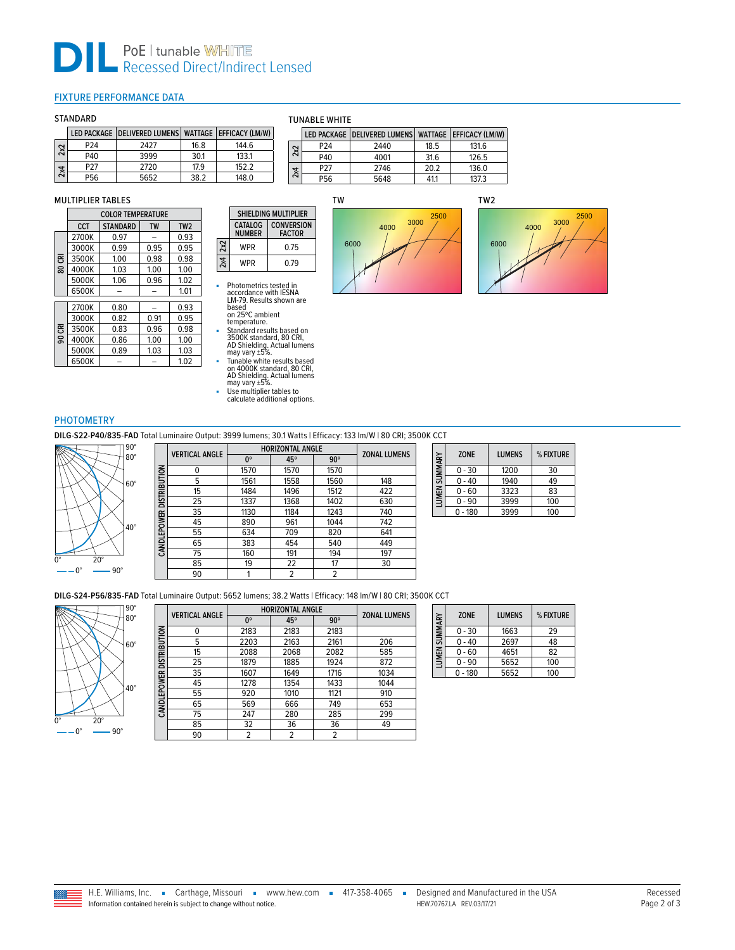# **DILLE** PoE | tunable WHITE<br>
Recessed Direct/Indirect Lensed

## <span id="page-1-0"></span>FIXTURE PERFORMANCE DATA

## STANDARD

|     |                 | LED PACKAGE DELIVERED LUMENS WATTAGE EFFICACY (LM/W) |      |       |
|-----|-----------------|------------------------------------------------------|------|-------|
| 2x2 | P <sub>24</sub> | 2427                                                 | 16.8 | 144.6 |
|     | P40             | 3999                                                 | 30.1 | 133.1 |
| 2x4 | P27             | 2720                                                 | 17.9 | 152.2 |
|     | P56             | 5652                                                 | 38.2 | 148.0 |

## MULTIPLIER TABLES

|        | <b>COLOR TEMPERATURE</b> |                 |           |                 |
|--------|--------------------------|-----------------|-----------|-----------------|
|        | CCT                      | <b>STANDARD</b> | <b>TW</b> | TW <sub>2</sub> |
|        | 2700K                    | 0.97            |           | 0.93            |
|        | 3000K                    | 0.99            | 0.95      | 0.95            |
| 80 CRI | 3500K                    | 1.00            | 0.98      | 0.98            |
|        | 4000K                    | 1.03            | 1.00      | 1.00            |
|        | 5000K                    | 1.06            | 0.96      | 1.02            |
|        | 6500K                    |                 |           | 1.01            |
|        | 2700K                    | 0.80            |           | 0.93            |
|        | 3000K                    | 0.82            | 0.91      | 0.95            |
| కె     | 3500K                    | 0.83            | 0.96      | 0.98            |
| င္တ    | 4000K                    | 0.86            | 1.00      | 1.00            |
|        | 5000K                    | 0.89            | 1.03      | 1.03            |
|        | 6500K                    |                 |           | 1.02            |

#### TUNABLE WHITE

|     |                 | LED PACKAGE DELIVERED LUMENS WATTAGE EFFICACY (LM/W) |      |       |
|-----|-----------------|------------------------------------------------------|------|-------|
| 2x2 | P <sub>24</sub> | 2440                                                 | 18.5 | 131.6 |
|     | P40             | 4001                                                 | 31.6 | 126.5 |
| 2x4 | P <sub>27</sub> | 2746                                                 | 20.2 | 136.0 |
|     | P <sub>56</sub> | 5648                                                 | 41.1 | 137.3 |







| ٠ | Photometrics tested in   |
|---|--------------------------|
|   | accordance with IESNA    |
|   | LM-79. Results shown are |
|   | based                    |

**2x2**

**2x4**

- based on 25ºC ambient temperature.
- Standard results based on<br>3500K standard, 80 CRI,<br>AD Shielding. Actual lumens<br>may vary ±5%.<br>■ Unable white results based<br>on 4000K standard, 80 CRI,<br>AD Shielding. Actual lumens<br>may vary ±5%.<br>■ Use multiplier tables to<br>©
- 

## **PHOTOMETRY**

**DILG-S22-P40/835-FAD** Total Luminaire Output: 3999 lumens; 30.1 Watts | Efficacy: 133 lm/W | 80 CRI; 3500K CCT



|                          | <b>VERTICAL ANGLE</b> | <b>HORIZONTAL ANGLE</b> |      |                | <b>ZONAL LUMENS</b> |
|--------------------------|-----------------------|-------------------------|------|----------------|---------------------|
|                          |                       | 0°                      | 45°  | $90^\circ$     |                     |
|                          | 0                     | 1570                    | 1570 | 1570           |                     |
|                          | 5                     | 1561                    | 1558 | 1560           | 148                 |
|                          | 15                    | 1484                    | 1496 | 1512           | 422                 |
| CANDLEPOWER DISTRIBUTION | 25                    | 1337                    | 1368 | 1402           | 630                 |
|                          | 35                    | 1130                    | 1184 | 1243           | 740                 |
|                          | 45                    | 890                     | 961  | 1044           | 742                 |
|                          | 55                    | 634                     | 709  | 820            | 641                 |
|                          | 65                    | 383                     | 454  | 540            | 449                 |
|                          | 75                    | 160                     | 191  | 194            | 197                 |
|                          | 85                    | 19                      | 22   | 17             | 30                  |
|                          | 90                    |                         | 2    | $\overline{2}$ |                     |
|                          |                       |                         |      |                |                     |

| SUMMARY            | <b>ZONE</b> | <b>LUMENS</b> | % FIXTURE |
|--------------------|-------------|---------------|-----------|
|                    | $0 - 30$    | 1200          | 30        |
|                    | 0 - 40      | 1940          | 49        |
| LUMEN <sub>3</sub> | 0 - 60      | 3323          | 83        |
|                    | $-90$       | 3999          | 100       |
|                    | - 180       | 3999          | 100       |

**DILG-S24-P56/835-FAD** Total Luminaire Output: 5652 lumens; 38.2 Watts | Efficacy: 148 lm/W | 80 CRI; 3500K CCT



|              |                       | <b>HORIZONTAL ANGLE</b> |      |            |                     |
|--------------|-----------------------|-------------------------|------|------------|---------------------|
|              | <b>VERTICAL ANGLE</b> | 0°                      | 45°  | $90^\circ$ | <b>ZONAL LUMENS</b> |
|              | ŋ                     | 2183                    | 2183 | 2183       |                     |
|              | 5                     | 2203                    | 2163 | 2161       | 206                 |
| DISTRIBUTION | 15                    | 2088                    | 2068 | 2082       | 585                 |
|              | 25                    | 1879                    | 1885 | 1924       | 872                 |
|              | 35                    | 1607                    | 1649 | 1716       | 1034                |
|              | 45                    | 1278                    | 1354 | 1433       | 1044                |
| CANDLEPOWER  | 55                    | 920                     | 1010 | 1121       | 910                 |
|              | 65                    | 569                     | 666  | 749        | 653                 |
|              | 75                    | 247                     | 280  | 285        | 299                 |
|              | 85                    | 32                      | 36   | 36         | 49                  |
|              | 90                    | 2                       | 2    | 2          |                     |

| LUMEN SUMMARY | <b>ZONE</b> | <b>LUMENS</b> | % FIXTURE |
|---------------|-------------|---------------|-----------|
|               | $0 - 30$    | 1663          | 29        |
|               | $0 - 40$    | 2697          | 48        |
|               | $0 - 60$    | 4651          | 82        |
|               | $0 - 90$    | 5652          | 100       |
|               | $0 - 180$   | 5652          | 100       |